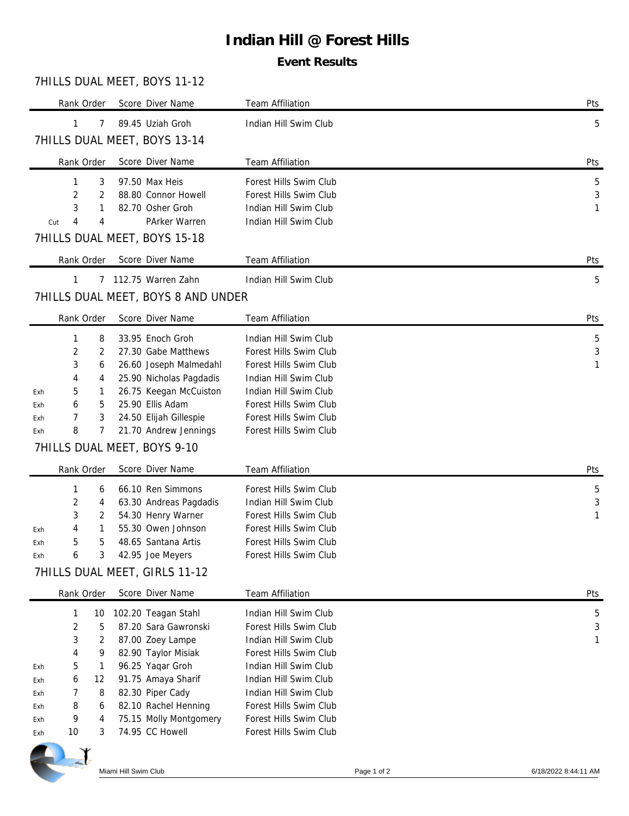# **Indian Hill @ Forest Hills**

### **Event Results**

## 7HILLS DUAL MEET, BOYS 11-12

|            | Rank Order      |         | Score Diver Name                                    | Team Affiliation                               | Pts    |
|------------|-----------------|---------|-----------------------------------------------------|------------------------------------------------|--------|
|            | 1               | 7       | 89.45 Uziah Groh                                    | Indian Hill Swim Club                          | 5      |
|            |                 |         | 7HILLS DUAL MEET, BOYS 13-14                        |                                                |        |
|            | Rank Order      |         | Score Diver Name                                    | Team Affiliation                               | Pts    |
|            | 1               | 3       | 97.50 Max Heis                                      | Forest Hills Swim Club                         | 5      |
|            | 2               | 2       | 88.80 Connor Howell                                 | Forest Hills Swim Club                         | 3      |
|            | 3<br>4          | 1<br>4  | 82.70 Osher Groh<br>PArker Warren                   | Indian Hill Swim Club<br>Indian Hill Swim Club | 1      |
| Cut        |                 |         | 7HILLS DUAL MEET, BOYS 15-18                        |                                                |        |
|            |                 |         |                                                     |                                                |        |
|            | Rank Order      |         | Score Diver Name                                    | Team Affiliation                               | Pts    |
|            | $\mathbf{1}$    |         | 7 112.75 Warren Zahn                                | Indian Hill Swim Club                          | 5      |
|            |                 |         | 7HILLS DUAL MEET, BOYS 8 AND UNDER                  |                                                |        |
|            | Rank Order      |         | Score Diver Name                                    | Team Affiliation                               | Pts    |
|            | 1               | 8       | 33.95 Enoch Groh                                    | Indian Hill Swim Club                          | 5      |
|            | 2               | 2       | 27.30 Gabe Matthews                                 | Forest Hills Swim Club                         | 3      |
|            | 3               | 6       | 26.60 Joseph Malmedahl                              | Forest Hills Swim Club                         | 1      |
|            | 4<br>5          | 4<br>1  | 25.90 Nicholas Pagdadis<br>26.75 Keegan McCuiston   | Indian Hill Swim Club<br>Indian Hill Swim Club |        |
| Exh<br>Exh | 6               | 5       | 25.90 Ellis Adam                                    | Forest Hills Swim Club                         |        |
| Exh        | 7               | 3       | 24.50 Elijah Gillespie                              | Forest Hills Swim Club                         |        |
| Exh        | 8               | 7       | 21.70 Andrew Jennings                               | Forest Hills Swim Club                         |        |
|            |                 |         |                                                     |                                                |        |
|            |                 |         |                                                     |                                                |        |
|            | Rank Order      |         | 7HILLS DUAL MEET, BOYS 9-10                         |                                                |        |
|            |                 |         | Score Diver Name                                    | Team Affiliation                               | Pts    |
|            | 1               | 6       | 66.10 Ren Simmons                                   | Forest Hills Swim Club                         | 5      |
|            | 2               | 4       | 63.30 Andreas Pagdadis                              | Indian Hill Swim Club                          | 3      |
|            | 3               | 2       | 54.30 Henry Warner                                  | Forest Hills Swim Club                         | 1      |
| Exh        | 4               | 1       | 55.30 Owen Johnson                                  | Forest Hills Swim Club                         |        |
| Exh<br>Exh | 5<br>6          | 5       | 48.65 Santana Artis                                 | Forest Hills Swim Club                         |        |
|            |                 |         | 3 42.95 Joe Meyers<br>7HILLS DUAL MEET, GIRLS 11-12 | Forest Hills Swim Club                         |        |
|            |                 |         | Score Diver Name                                    |                                                |        |
|            | Rank Order<br>1 |         |                                                     | Team Affiliation<br>Indian Hill Swim Club      | Pts    |
|            | $\sqrt{2}$      | 10<br>5 | 102.20 Teagan Stahl<br>87.20 Sara Gawronski         | Forest Hills Swim Club                         | 5<br>3 |
|            | 3               | 2       | 87.00 Zoey Lampe                                    | Indian Hill Swim Club                          | 1      |
|            | 4               | 9       | 82.90 Taylor Misiak                                 | Forest Hills Swim Club                         |        |
| Exh        | 5               | 1       | 96.25 Yaqar Groh                                    | Indian Hill Swim Club                          |        |
| Exh        | 6               | 12      | 91.75 Amaya Sharif                                  | Indian Hill Swim Club                          |        |
| Exh        | 7               | 8       | 82.30 Piper Cady                                    | Indian Hill Swim Club                          |        |
| Exh        | 8               | 6       | 82.10 Rachel Henning                                | Forest Hills Swim Club                         |        |
| Exh        | 9               | 4       | 75.15 Molly Montgomery                              | Forest Hills Swim Club                         |        |
| Exh        | 10              | 3       | 74.95 CC Howell                                     | Forest Hills Swim Club                         |        |